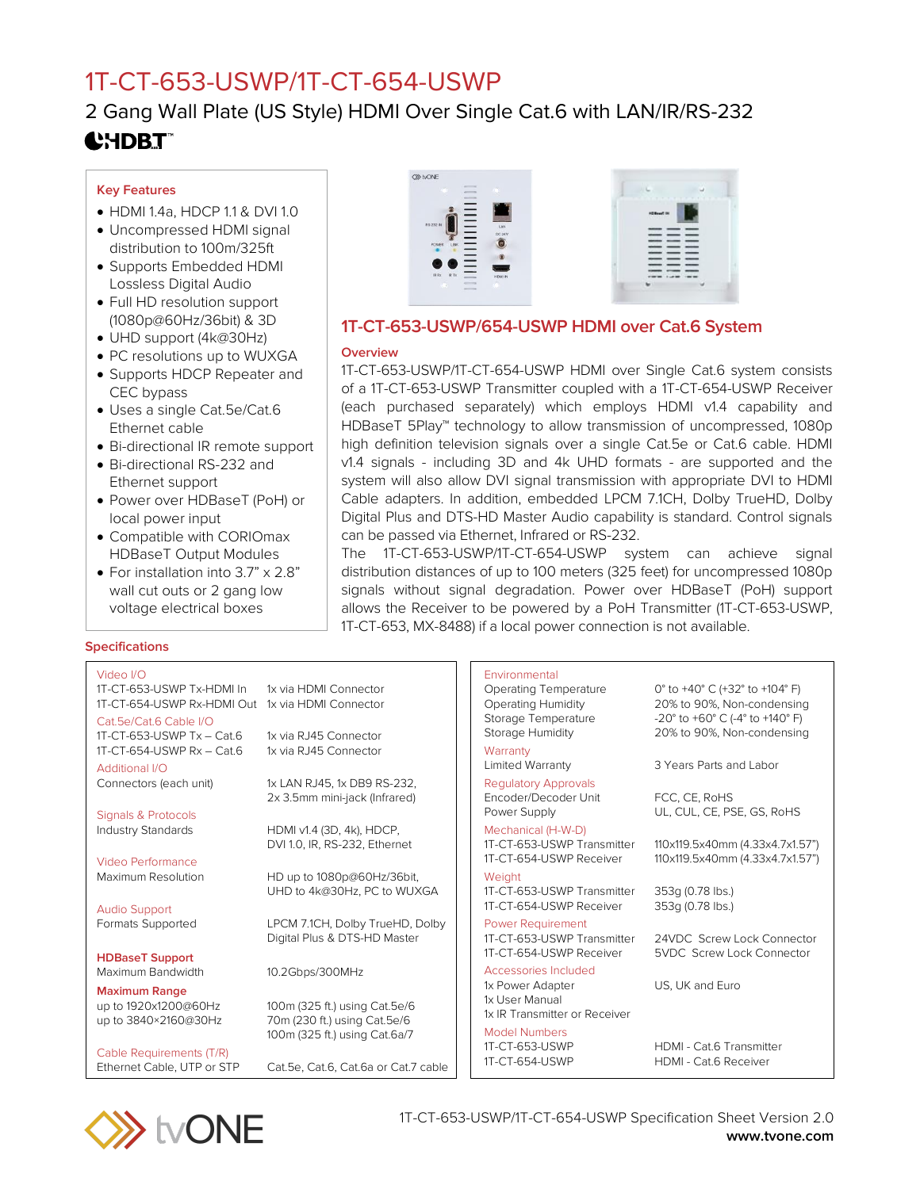## 1T-CT-653-USWP/1T-CT-654-USWP

### 2 Gang Wall Plate (US Style) HDMI Over Single Cat.6 with LAN/IR/RS-232 CHDB.T<sup>®</sup>

#### **Key Features**

- HDMI 1.4a, HDCP 1.1 & DVI 1.0
- Uncompressed HDMI signal distribution to 100m/325ft
- Supports Embedded HDMI Lossless Digital Audio
- Full HD resolution support (1080p@60Hz/36bit) & 3D
- UHD support (4k@30Hz)
- PC resolutions up to WUXGA
- Supports HDCP Repeater and CEC bypass
- Uses a single Cat.5e/Cat.6 Ethernet cable
- Bi-directional IR remote support
- Bi-directional RS-232 and Ethernet support
- Power over HDBaseT (PoH) or local power input
- Compatible with CORIOmax HDBaseT Output Modules
- For installation into 3.7" x 2.8" wall cut outs or 2 gang low voltage electrical boxes

#### **Specifications**





### **1T-CT-653-USWP/654-USWP HDMI over Cat.6 System**

#### **Overview**

1T-CT-653-USWP/1T-CT-654-USWP HDMI over Single Cat.6 system consists of a 1T-CT-653-USWP Transmitter coupled with a 1T-CT-654-USWP Receiver (each purchased separately) which employs HDMI v1.4 capability and HDBaseT 5Play™ technology to allow transmission of uncompressed, 1080p high definition television signals over a single Cat.5e or Cat.6 cable. HDMI v1.4 signals - including 3D and 4k UHD formats - are supported and the system will also allow DVI signal transmission with appropriate DVI to HDMI Cable adapters. In addition, embedded LPCM 7.1CH, Dolby TrueHD, Dolby Digital Plus and DTS-HD Master Audio capability is standard. Control signals can be passed via Ethernet, Infrared or RS-232.

The 1T-CT-653-USWP/1T-CT-654-USWP system can achieve signal distribution distances of up to 100 meters (325 feet) for uncompressed 1080p signals without signal degradation. Power over HDBaseT (PoH) support allows the Receiver to be powered by a PoH Transmitter (1T-CT-653-USWP, 1T-CT-653, MX-8488) if a local power connection is not available.

| Video I/O<br>1T-CT-653-USWP Tx-HDMI In<br>1T-CT-654-USWP Rx-HDMI Out<br>Cat.5e/Cat.6 Cable I/O<br>1T-CT-653-USWP $Tx - Cat.6$<br>1T-CT-654-USWP $Rx - Cat.6$ | 1x via HDMI Connector<br>1x via HDMI Connector<br>1x via RJ45 Connector<br>1x via RJ45 Connector | <b>Environmental</b><br><b>Operating Temperature</b><br><b>Operating Humidity</b><br>Storage Temperature<br>Storage Humidity<br>Warranty |                               | 0° to +40° C (+32° to +104° F)<br>20% to 90%, Non-condensing<br>$-20^{\circ}$ to $+60^{\circ}$ C ( $-4^{\circ}$ to $+140^{\circ}$ F)<br>20% to 90%, Non-condensing |
|--------------------------------------------------------------------------------------------------------------------------------------------------------------|--------------------------------------------------------------------------------------------------|------------------------------------------------------------------------------------------------------------------------------------------|-------------------------------|--------------------------------------------------------------------------------------------------------------------------------------------------------------------|
| Additional I/O                                                                                                                                               |                                                                                                  | Limited Warranty                                                                                                                         |                               | 3 Years Parts and Labor                                                                                                                                            |
| Connectors (each unit)                                                                                                                                       | 1x LAN RJ45, 1x DB9 RS-232,<br>2x 3.5mm mini-jack (Infrared)                                     | <b>Regulatory Approvals</b><br>Encoder/Decoder Unit<br>Power Supply                                                                      |                               | FCC. CE. RoHS<br>UL, CUL, CE, PSE, GS, RoHS                                                                                                                        |
| Signals & Protocols<br><b>Industry Standards</b>                                                                                                             | HDMI v1.4 (3D, 4k), HDCP,                                                                        | Mechanical (H-W-D)                                                                                                                       |                               |                                                                                                                                                                    |
|                                                                                                                                                              | DVI 1.0, IR, RS-232, Ethernet                                                                    |                                                                                                                                          | 1T-CT-653-USWP Transmitter    | 110x119.5x40mm (4.33x4.7x1.57")                                                                                                                                    |
| Video Performance                                                                                                                                            |                                                                                                  |                                                                                                                                          | 1T-CT-654-USWP Receiver       | 110x119.5x40mm (4.33x4.7x1.57")                                                                                                                                    |
| Maximum Resolution                                                                                                                                           | HD up to 1080p@60Hz/36bit,<br>UHD to 4k@30Hz, PC to WUXGA                                        | Weight                                                                                                                                   | 1T-CT-653-USWP Transmitter    | 353g (0.78 lbs.)                                                                                                                                                   |
| <b>Audio Support</b>                                                                                                                                         |                                                                                                  |                                                                                                                                          | 1T-CT-654-USWP Receiver       | 353g (0.78 lbs.)                                                                                                                                                   |
| Formats Supported                                                                                                                                            | LPCM 7.1CH, Dolby TrueHD, Dolby<br>Digital Plus & DTS-HD Master                                  | <b>Power Requirement</b>                                                                                                                 | 1T-CT-653-USWP Transmitter    | 24VDC, Screw Lock Connector                                                                                                                                        |
| <b>HDBaseT Support</b>                                                                                                                                       |                                                                                                  |                                                                                                                                          | 1T-CT-654-USWP Receiver       | <b>5VDC Screw Lock Connector</b>                                                                                                                                   |
| Maximum Bandwidth                                                                                                                                            | 10.2Gbps/300MHz                                                                                  | Accessories Included<br>1x Power Adapter                                                                                                 |                               | US, UK and Euro                                                                                                                                                    |
| <b>Maximum Range</b><br>up to 1920x1200@60Hz<br>up to 3840×2160@30Hz                                                                                         | 100m (325 ft.) using Cat.5e/6<br>70m (230 ft.) using Cat.5e/6                                    | 1x User Manual                                                                                                                           | 1x IR Transmitter or Receiver |                                                                                                                                                                    |
|                                                                                                                                                              | 100m (325 ft.) using Cat.6a/7                                                                    | <b>Model Numbers</b>                                                                                                                     |                               |                                                                                                                                                                    |
| Cable Requirements (T/R)<br>Ethernet Cable, UTP or STP                                                                                                       | Cat.5e, Cat.6, Cat.6a or Cat.7 cable                                                             | 1T-CT-653-USWP<br>1T-CT-654-USWP                                                                                                         |                               | HDMI - Cat.6 Transmitter<br>HDMI - Cat.6 Receiver                                                                                                                  |